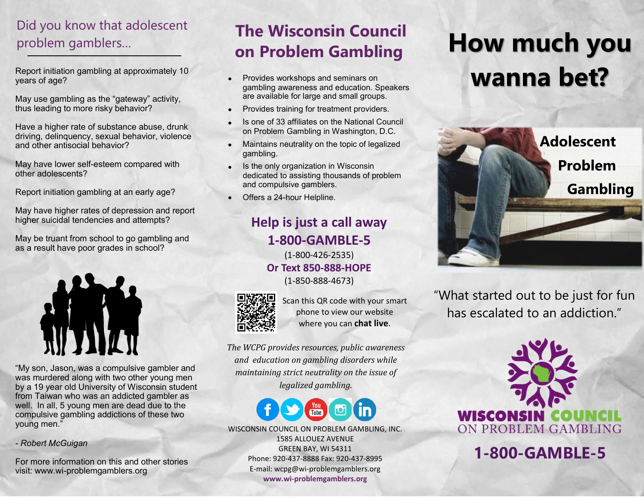# Did you know that adolescent problem gamblers…

Report initiation gambling at approximately 10 years of age?

May use gambling as the "gateway" activity, thus leading to more risky behavior?

Have a higher rate of substance abuse, drunk driving, delinquency, sexual behavior, violence and other antisocial behavior?

May have lower self-esteem compared with other adolescents?

Report initiation gambling at an early age?

May have higher rates of depression and report higher suicidal tendencies and attempts?

May be truant from school to go gambling and as a result have poor grades in school?



"My son, Jason, was a compulsive gambler and was murdered along with two other young men by a 19 year old University of Wisconsin student from Taiwan who was an addicted gambler as well. In all, 5 young men are dead due to the compulsive gambling addictions of these two young men."

*- Robert McGuigan*

For more information on this and other stories visit: www.wi-problemgamblers.org

# **The Wisconsin Council on Problem Gambling**

- Provides workshops and seminars on gambling awareness and education. Speakers are available for large and small groups.
- Provides training for treatment providers.
- Is one of 33 affiliates on the National Council on Problem Gambling in Washington, D.C.
- Maintains neutrality on the topic of legalized gambling.
- Is the only organization in Wisconsin dedicated to assisting thousands of problem and compulsive gamblers.
- Offers a 24-hour Helpline.

#### **Help is just a call away 1-800-GAMBLE-5**

(1-800-426-2535) **Or Text 850-888-HOPE** (1-850-888-4673)



Scan this QR code with your smart phone to view our website where you can **chat live**.

*The WCPG provides resources, public awareness and education on gambling disorders while maintaining strict neutrality on the issue of legalized gambling.*



WISCONSIN COUNCIL ON PROBLEM GAMBLING, INC. 1585 ALLOUEZ AVENUE GREEN BAY, WI 54311 Phone: 920-437-8888 Fax: 920-437-8995 E-mail: wcpg@wi-problemgamblers.org **www.wi-problemgamblers.org**

# **How much you wanna bet?**



"What started out to be just for fun has escalated to an addiction."



**1-800-GAMBLE-5**